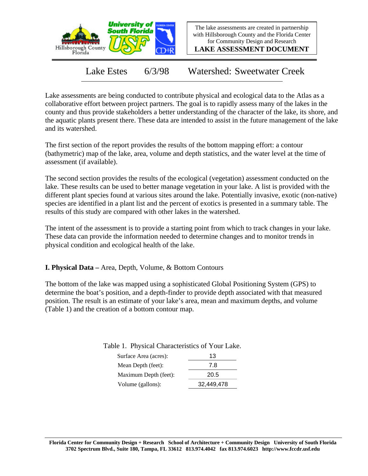

The lake assessments are created in partnership with Hillsborough County and the Florida Center for Community Design and Research

**LAKE ASSESSMENT DOCUMENT**

Lake Estes 6/3/98 Watershed: Sweetwater Creek

Lake assessments are being conducted to contribute physical and ecological data to the Atlas as a collaborative effort between project partners. The goal is to rapidly assess many of the lakes in the county and thus provide stakeholders a better understanding of the character of the lake, its shore, and the aquatic plants present there. These data are intended to assist in the future management of the lake and its watershed.

The first section of the report provides the results of the bottom mapping effort: a contour (bathymetric) map of the lake, area, volume and depth statistics, and the water level at the time of assessment (if available).

The second section provides the results of the ecological (vegetation) assessment conducted on the lake. These results can be used to better manage vegetation in your lake. A list is provided with the different plant species found at various sites around the lake. Potentially invasive, exotic (non-native) species are identified in a plant list and the percent of exotics is presented in a summary table. The results of this study are compared with other lakes in the watershed.

The intent of the assessment is to provide a starting point from which to track changes in your lake. These data can provide the information needed to determine changes and to monitor trends in physical condition and ecological health of the lake.

**I. Physical Data –** Area, Depth, Volume, & Bottom Contours

The bottom of the lake was mapped using a sophisticated Global Positioning System (GPS) to determine the boat's position, and a depth-finder to provide depth associated with that measured position. The result is an estimate of your lake's area, mean and maximum depths, and volume (Table 1) and the creation of a bottom contour map.

Table 1. Physical Characteristics of Your Lake.

| Surface Area (acres): | 13         |  |  |
|-----------------------|------------|--|--|
| Mean Depth (feet):    | 7.8        |  |  |
| Maximum Depth (feet): | 20.5       |  |  |
| Volume (gallons):     | 32,449,478 |  |  |
|                       |            |  |  |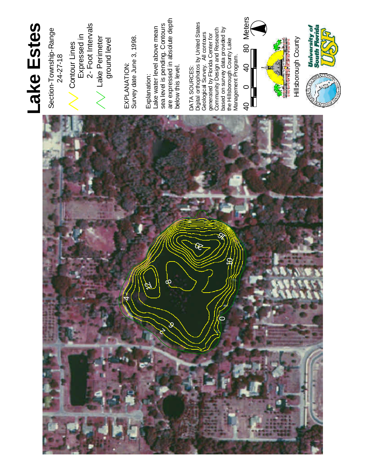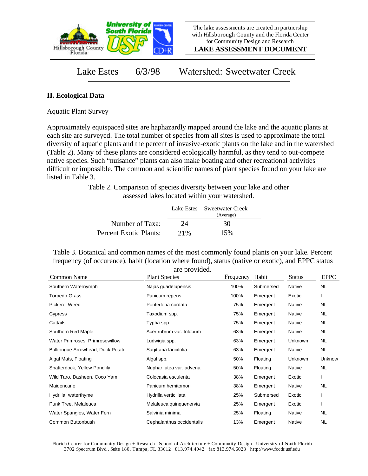

**LAKE ASSESSMENT DOCUMENT**

Lake Estes 6/3/98 Watershed: Sweetwater Creek

## **II. Ecological Data**

Aquatic Plant Survey

Approximately equispaced sites are haphazardly mapped around the lake and the aquatic plants at each site are surveyed. The total number of species from all sites is used to approximate the total diversity of aquatic plants and the percent of invasive-exotic plants on the lake and in the watershed (Table 2). Many of these plants are considered ecologically harmful, as they tend to out-compete native species. Such "nuisance" plants can also make boating and other recreational activities difficult or impossible. The common and scientific names of plant species found on your lake are listed in Table 3.

> Table 2. Comparison of species diversity between your lake and other assessed lakes located within your watershed.

|                        |      | Lake Estes Sweetwater Creek<br>(Average) |  |
|------------------------|------|------------------------------------------|--|
| Number of Taxa:        | 24   | 30                                       |  |
| Percent Exotic Plants: | 2.1% | 15%                                      |  |

Table 3. Botanical and common names of the most commonly found plants on your lake. Percent frequency (of occurence), habit (location where found), status (native or exotic), and EPPC status are provided.

| Common Name                       | <b>Plant Species</b>      | Frequency | Habit     | <b>Status</b> | <b>EPPC</b> |
|-----------------------------------|---------------------------|-----------|-----------|---------------|-------------|
| Southern Waternymph               | Najas guadelupensis       | 100%      | Submersed | Native        | <b>NL</b>   |
| <b>Torpedo Grass</b>              | Panicum repens            | 100%      | Emergent  | Exotic        |             |
| Pickerel Weed                     | Pontederia cordata        | 75%       | Emergent  | Native        | NL          |
| Cypress                           | Taxodium spp.             | 75%       | Emergent  | Native        | NL.         |
| Cattails                          | Typha spp.                | 75%       | Emergent  | Native        | NL.         |
| Southern Red Maple                | Acer rubrum var. trilobum | 63%       | Emergent  | Native        | NL          |
| Water Primroses, Primrosewillow   | Ludwigia spp.             | 63%       | Emergent  | Unknown       | NL.         |
| Bulltongue Arrowhead, Duck Potato | Sagittaria lancifolia     | 63%       | Emergent  | Native        | <b>NL</b>   |
| Algal Mats, Floating              | Algal spp.                | 50%       | Floating  | Unknown       | Unknow      |
| Spatterdock, Yellow Pondlily      | Nuphar lutea var. advena  | 50%       | Floating  | Native        | <b>NL</b>   |
| Wild Taro, Dasheen, Coco Yam      | Colocasia esculenta       | 38%       | Emergent  | Exotic        |             |
| Maidencane                        | Panicum hemitomon         | 38%       | Emergent  | Native        | NL          |
| Hydrilla, waterthyme              | Hydrilla verticillata     | 25%       | Submersed | Exotic        |             |
| Punk Tree, Melaleuca              | Melaleuca quinquenervia   | 25%       | Emergent  | Exotic        |             |
| Water Spangles, Water Fern        | Salvinia minima           | 25%       | Floating  | Native        | NL          |
| Common Buttonbush                 | Cephalanthus occidentalis | 13%       | Emergent  | Native        | NL          |

Florida Center for Community Design + Research School of Architecture + Community Design University of South Florida 3702 Spectrum Blvd., Suite 180, Tampa, FL 33612 813.974.4042 fax 813.974.6023 http://www.fccdr.usf.edu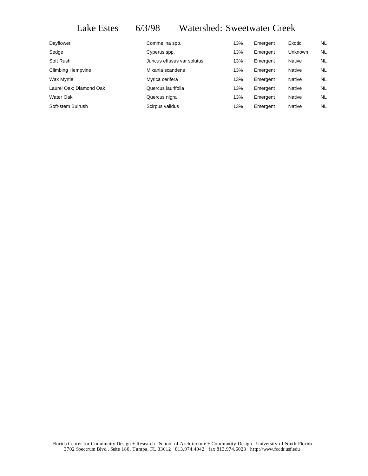## Lake Estes 6/3/98 Watershed: Sweetwater Creek

| Dayflower               | Commelina spp.             | 13% | Emergent | Exotic         | NL        |
|-------------------------|----------------------------|-----|----------|----------------|-----------|
| Sedge                   | Cyperus spp.               | 13% | Emergent | <b>Unknown</b> | NL.       |
| Soft Rush               | Juncus effusus var solutus | 13% | Emergent | Native         | NL.       |
| Climbing Hempvine       | Mikania scandens           | 13% | Emergent | Native         | NL        |
| Wax Myrtle              | Myrica cerifera            | 13% | Emergent | Native         | NL.       |
| Laurel Oak; Diamond Oak | Quercus laurifolia         | 13% | Emergent | Native         | <b>NL</b> |
| Water Oak               | Quercus nigra              | 13% | Emergent | Native         | NL.       |
| Soft-stem Bulrush       | Scirpus validus            | 13% | Emergent | <b>Native</b>  | NL        |
|                         |                            |     |          |                |           |

Florida Center for Community Design + Research School of Architecture + Community Design University of South Florida 3702 Spectrum Blvd., Suite 180, Tampa, FL 33612 813.974.4042 fax 813.974.6023 http://www.fccdr.usf.edu